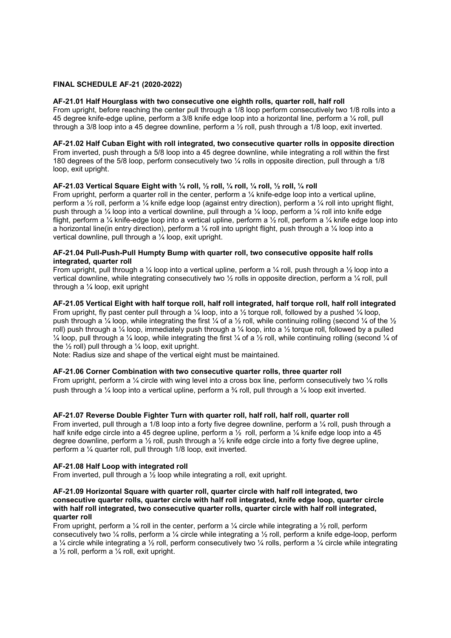# FINAL SCHEDULE AF-21 (2020-2022)

### AF-21.01 Half Hourglass with two consecutive one eighth rolls, quarter roll, half roll

From upright, before reaching the center pull through a 1/8 loop perform consecutively two 1/8 rolls into a 45 degree knife-edge upline, perform a 3/8 knife edge loop into a horizontal line, perform a ¼ roll, pull through a 3/8 loop into a 45 degree downline, perform a ½ roll, push through a 1/8 loop, exit inverted.

# AF-21.02 Half Cuban Eight with roll integrated, two consecutive quarter rolls in opposite direction

From inverted, push through a 5/8 loop into a 45 degree downline, while integrating a roll within the first 180 degrees of the 5/8 loop, perform consecutively two ¼ rolls in opposite direction, pull through a 1/8 loop, exit upright.

## AF-21.03 Vertical Square Eight with ¼ roll, ½ roll, ¼ roll, ¼ roll, ½ roll, ¼ roll

From upright, perform a quarter roll in the center, perform a ¼ knife-edge loop into a vertical upline, perform a ½ roll, perform a ¼ knife edge loop (against entry direction), perform a ¼ roll into upright flight, push through a  $\frac{1}{4}$  loop into a vertical downline, pull through a  $\frac{1}{4}$  loop, perform a  $\frac{1}{4}$  roll into knife edge flight, perform a ¼ knife-edge loop into a vertical upline, perform a ½ roll, perform a ¼ knife edge loop into a horizontal line(in entry direction), perform a  $\frac{1}{4}$  roll into upright flight, push through a  $\frac{1}{4}$  loop into a vertical downline, pull through a ¼ loop, exit upright.

## AF-21.04 Pull-Push-Pull Humpty Bump with quarter roll, two consecutive opposite half rolls integrated, quarter roll

From upright, pull through a 1/4 loop into a vertical upline, perform a 1/4 roll, push through a 1/2 loop into a vertical downline, while integrating consecutively two ½ rolls in opposite direction, perform a ¼ roll, pull through a ¼ loop, exit upright

### AF-21.05 Vertical Eight with half torque roll, half roll integrated, half torque roll, half roll integrated

From upright, fly past center pull through a  $\frac{1}{4}$  loop, into a  $\frac{1}{2}$  torque roll, followed by a pushed  $\frac{1}{4}$  loop, push through a  $\frac{1}{4}$  loop, while integrating the first  $\frac{1}{4}$  of a  $\frac{1}{2}$  roll, while continuing rolling (second  $\frac{1}{4}$  of the  $\frac{1}{2}$ roll) push through a  $\frac{1}{4}$  loop, immediately push through a  $\frac{1}{4}$  loop, into a  $\frac{1}{2}$  torque roll, followed by a pulled  $\frac{1}{4}$  loop, pull through a  $\frac{1}{4}$  loop, while integrating the first  $\frac{1}{4}$  of a  $\frac{1}{2}$  roll, while continuing rolling (second  $\frac{1}{4}$  of the  $\frac{1}{2}$  roll) pull through a  $\frac{1}{4}$  loop, exit upright.

Note: Radius size and shape of the vertical eight must be maintained.

### AF-21.06 Corner Combination with two consecutive quarter rolls, three quarter roll

From upright, perform a  $\frac{1}{4}$  circle with wing level into a cross box line, perform consecutively two  $\frac{1}{4}$  rolls push through a ¼ loop into a vertical upline, perform a ¾ roll, pull through a ¼ loop exit inverted.

### AF-21.07 Reverse Double Fighter Turn with quarter roll, half roll, half roll, quarter roll

From inverted, pull through a 1/8 loop into a forty five degree downline, perform a 1/4 roll, push through a half knife edge circle into a 45 degree upline, perform a  $\frac{1}{2}$  roll, perform a  $\frac{1}{4}$  knife edge loop into a 45 degree downline, perform a ½ roll, push through a ½ knife edge circle into a forty five degree upline, perform a ¼ quarter roll, pull through 1/8 loop, exit inverted.

#### AF-21.08 Half Loop with integrated roll

From inverted, pull through a ½ loop while integrating a roll, exit upright.

### AF-21.09 Horizontal Square with quarter roll, quarter circle with half roll integrated, two consecutive quarter rolls, quarter circle with half roll integrated, knife edge loop, quarter circle with half roll integrated, two consecutive quarter rolls, quarter circle with half roll integrated, quarter roll

From upright, perform a  $\frac{1}{4}$  roll in the center, perform a  $\frac{1}{4}$  circle while integrating a  $\frac{1}{2}$  roll, perform consecutively two ¼ rolls, perform a ¼ circle while integrating a ½ roll, perform a knife edge-loop, perform a ¼ circle while integrating a ½ roll, perform consecutively two ¼ rolls, perform a ¼ circle while integrating a  $\frac{1}{2}$  roll, perform a  $\frac{1}{4}$  roll, exit upright.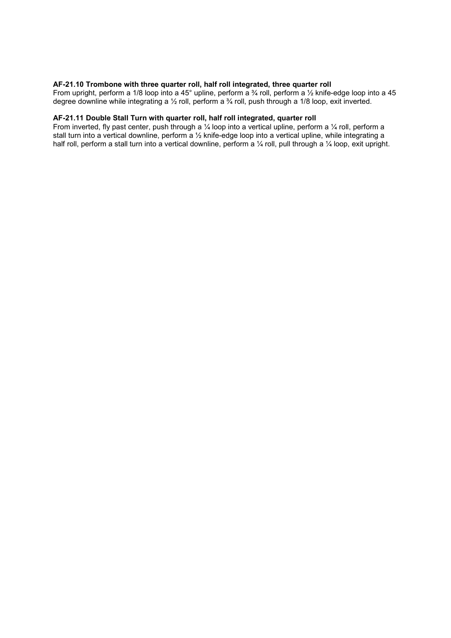## AF-21.10 Trombone with three quarter roll, half roll integrated, three quarter roll

From upright, perform a 1/8 loop into a 45° upline, perform a ¾ roll, perform a ½ knife-edge loop into a 45 degree downline while integrating a ½ roll, perform a ¾ roll, push through a 1/8 loop, exit inverted.

# AF-21.11 Double Stall Turn with quarter roll, half roll integrated, quarter roll

From inverted, fly past center, push through a  $\frac{1}{4}$  loop into a vertical upline, perform a  $\frac{1}{4}$  roll, perform a stall turn into a vertical downline, perform a ½ knife-edge loop into a vertical upline, while integrating a half roll, perform a stall turn into a vertical downline, perform a 1/4 roll, pull through a 1/4 loop, exit upright.